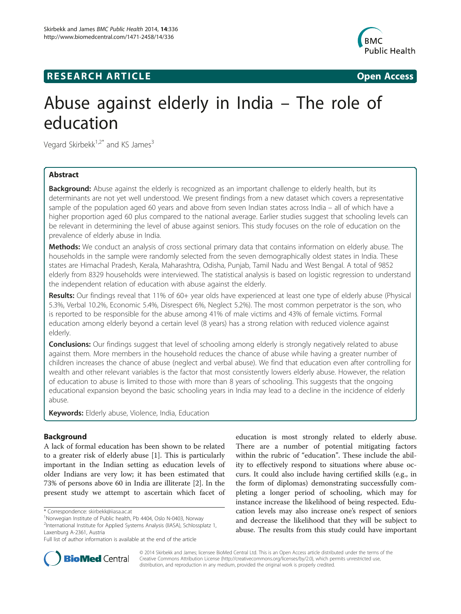



# Abuse against elderly in India – The role of education

Vegard Skirbekk<sup>1,2\*</sup> and KS James<sup>3</sup>

# Abstract

**Background:** Abuse against the elderly is recognized as an important challenge to elderly health, but its determinants are not yet well understood. We present findings from a new dataset which covers a representative sample of the population aged 60 years and above from seven Indian states across India – all of which have a higher proportion aged 60 plus compared to the national average. Earlier studies suggest that schooling levels can be relevant in determining the level of abuse against seniors. This study focuses on the role of education on the prevalence of elderly abuse in India.

Methods: We conduct an analysis of cross sectional primary data that contains information on elderly abuse. The households in the sample were randomly selected from the seven demographically oldest states in India. These states are Himachal Pradesh, Kerala, Maharashtra, Odisha, Punjab, Tamil Nadu and West Bengal. A total of 9852 elderly from 8329 households were interviewed. The statistical analysis is based on logistic regression to understand the independent relation of education with abuse against the elderly.

Results: Our findings reveal that 11% of 60+ year olds have experienced at least one type of elderly abuse (Physical 5.3%, Verbal 10.2%, Economic 5.4%, Disrespect 6%, Neglect 5.2%). The most common perpetrator is the son, who is reported to be responsible for the abuse among 41% of male victims and 43% of female victims. Formal education among elderly beyond a certain level (8 years) has a strong relation with reduced violence against elderly.

**Conclusions:** Our findings suggest that level of schooling among elderly is strongly negatively related to abuse against them. More members in the household reduces the chance of abuse while having a greater number of children increases the chance of abuse (neglect and verbal abuse). We find that education even after controlling for wealth and other relevant variables is the factor that most consistently lowers elderly abuse. However, the relation of education to abuse is limited to those with more than 8 years of schooling. This suggests that the ongoing educational expansion beyond the basic schooling years in India may lead to a decline in the incidence of elderly abuse.

Keywords: Elderly abuse, Violence, India, Education

## **Background**

A lack of formal education has been shown to be related to a greater risk of elderly abuse [[1\]](#page-7-0). This is particularly important in the Indian setting as education levels of older Indians are very low; it has been estimated that 73% of persons above 60 in India are illiterate [\[2](#page-7-0)]. In the present study we attempt to ascertain which facet of

education is most strongly related to elderly abuse. There are a number of potential mitigating factors within the rubric of "education". These include the ability to effectively respond to situations where abuse occurs. It could also include having certified skills (e.g., in the form of diplomas) demonstrating successfully completing a longer period of schooling, which may for instance increase the likelihood of being respected. Education levels may also increase one's respect of seniors and decrease the likelihood that they will be subject to abuse. The results from this study could have important



© 2014 Skirbekk and James; licensee BioMed Central Ltd. This is an Open Access article distributed under the terms of the Creative Commons Attribution License (<http://creativecommons.org/licenses/by/2.0>), which permits unrestricted use, distribution, and reproduction in any medium, provided the original work is properly credited.

<sup>\*</sup> Correspondence: [skirbekk@iiasa.ac.at](mailto:skirbekk@iiasa.ac.at) <sup>1</sup>

<sup>&</sup>lt;sup>1</sup>Norwegian Institute of Public health, Pb 4404, Oslo N-0403, Norway <sup>2</sup>International Institute for Applied Systems Analysis (IIASA), Schlossplatz 1, Laxenburg A-2361, Austria

Full list of author information is available at the end of the article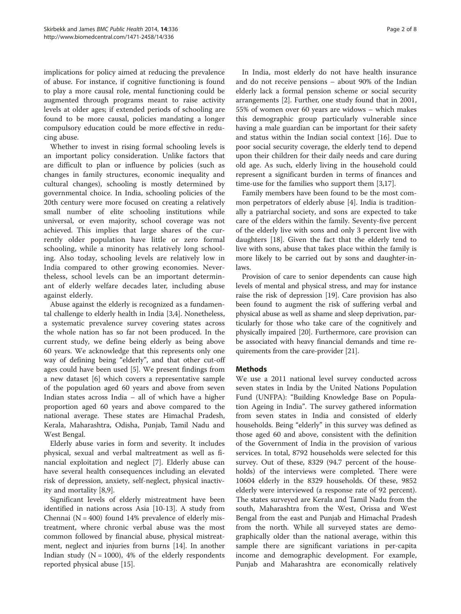implications for policy aimed at reducing the prevalence of abuse. For instance, if cognitive functioning is found to play a more causal role, mental functioning could be augmented through programs meant to raise activity levels at older ages; if extended periods of schooling are found to be more causal, policies mandating a longer compulsory education could be more effective in reducing abuse.

Whether to invest in rising formal schooling levels is an important policy consideration. Unlike factors that are difficult to plan or influence by policies (such as changes in family structures, economic inequality and cultural changes), schooling is mostly determined by governmental choice. In India, schooling policies of the 20th century were more focused on creating a relatively small number of elite schooling institutions while universal, or even majority, school coverage was not achieved. This implies that large shares of the currently older population have little or zero formal schooling, while a minority has relatively long schooling. Also today, schooling levels are relatively low in India compared to other growing economies. Nevertheless, school levels can be an important determinant of elderly welfare decades later, including abuse against elderly.

Abuse against the elderly is recognized as a fundamental challenge to elderly health in India [\[3,4](#page-7-0)]. Nonetheless, a systematic prevalence survey covering states across the whole nation has so far not been produced. In the current study, we define being elderly as being above 60 years. We acknowledge that this represents only one way of defining being "elderly", and that other cut-off ages could have been used [\[5](#page-7-0)]. We present findings from a new dataset [[6\]](#page-7-0) which covers a representative sample of the population aged 60 years and above from seven Indian states across India – all of which have a higher proportion aged 60 years and above compared to the national average. These states are Himachal Pradesh, Kerala, Maharashtra, Odisha, Punjab, Tamil Nadu and West Bengal.

Elderly abuse varies in form and severity. It includes physical, sexual and verbal maltreatment as well as financial exploitation and neglect [[7](#page-7-0)]. Elderly abuse can have several health consequences including an elevated risk of depression, anxiety, self-neglect, physical inactivity and mortality [\[8,9](#page-7-0)].

Significant levels of elderly mistreatment have been identified in nations across Asia [\[10](#page-7-0)-[13\]](#page-7-0). A study from Chennai ( $N = 400$ ) found 14% prevalence of elderly mistreatment, where chronic verbal abuse was the most common followed by financial abuse, physical mistreatment, neglect and injuries from burns [[14](#page-7-0)]. In another Indian study ( $N = 1000$ ), 4% of the elderly respondents reported physical abuse [\[15\]](#page-7-0).

In India, most elderly do not have health insurance and do not receive pensions – about 90% of the Indian elderly lack a formal pension scheme or social security arrangements [[2\]](#page-7-0). Further, one study found that in 2001, 55% of women over 60 years are widows – which makes this demographic group particularly vulnerable since having a male guardian can be important for their safety and status within the Indian social context [[16\]](#page-7-0). Due to poor social security coverage, the elderly tend to depend upon their children for their daily needs and care during old age. As such, elderly living in the household could represent a significant burden in terms of finances and time-use for the families who support them [[3](#page-7-0),[17](#page-7-0)].

Family members have been found to be the most common perpetrators of elderly abuse [[4\]](#page-7-0). India is traditionally a patriarchal society, and sons are expected to take care of the elders within the family. Seventy-five percent of the elderly live with sons and only 3 percent live with daughters [\[18](#page-7-0)]. Given the fact that the elderly tend to live with sons, abuse that takes place within the family is more likely to be carried out by sons and daughter-inlaws.

Provision of care to senior dependents can cause high levels of mental and physical stress, and may for instance raise the risk of depression [\[19](#page-7-0)]. Care provision has also been found to augment the risk of suffering verbal and physical abuse as well as shame and sleep deprivation, particularly for those who take care of the cognitively and physically impaired [\[20\]](#page-7-0). Furthermore, care provision can be associated with heavy financial demands and time requirements from the care-provider [\[21\]](#page-7-0).

## Methods

We use a 2011 national level survey conducted across seven states in India by the United Nations Population Fund (UNFPA): "Building Knowledge Base on Population Ageing in India". The survey gathered information from seven states in India and consisted of elderly households. Being "elderly" in this survey was defined as those aged 60 and above, consistent with the definition of the Government of India in the provision of various services. In total, 8792 households were selected for this survey. Out of these, 8329 (94.7 percent of the households) of the interviews were completed. There were 10604 elderly in the 8329 households. Of these, 9852 elderly were interviewed (a response rate of 92 percent). The states surveyed are Kerala and Tamil Nadu from the south, Maharashtra from the West, Orissa and West Bengal from the east and Punjab and Himachal Pradesh from the north. While all surveyed states are demographically older than the national average, within this sample there are significant variations in per-capita income and demographic development. For example, Punjab and Maharashtra are economically relatively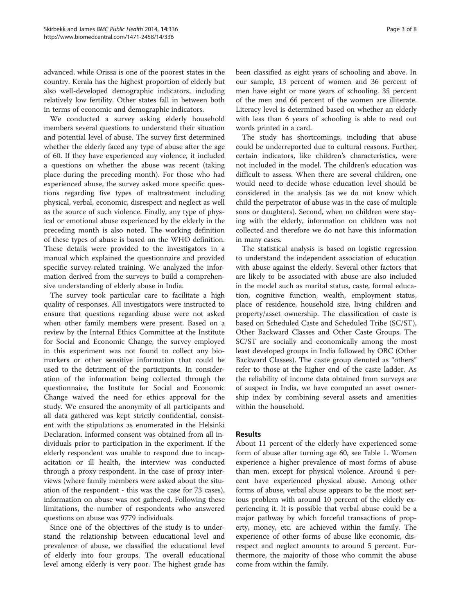advanced, while Orissa is one of the poorest states in the country. Kerala has the highest proportion of elderly but also well-developed demographic indicators, including relatively low fertility. Other states fall in between both in terms of economic and demographic indicators.

We conducted a survey asking elderly household members several questions to understand their situation and potential level of abuse. The survey first determined whether the elderly faced any type of abuse after the age of 60. If they have experienced any violence, it included a questions on whether the abuse was recent (taking place during the preceding month). For those who had experienced abuse, the survey asked more specific questions regarding five types of maltreatment including physical, verbal, economic, disrespect and neglect as well as the source of such violence. Finally, any type of physical or emotional abuse experienced by the elderly in the preceding month is also noted. The working definition of these types of abuse is based on the WHO definition. These details were provided to the investigators in a manual which explained the questionnaire and provided specific survey-related training. We analyzed the information derived from the surveys to build a comprehensive understanding of elderly abuse in India.

The survey took particular care to facilitate a high quality of responses. All investigators were instructed to ensure that questions regarding abuse were not asked when other family members were present. Based on a review by the Internal Ethics Committee at the Institute for Social and Economic Change, the survey employed in this experiment was not found to collect any biomarkers or other sensitive information that could be used to the detriment of the participants. In consideration of the information being collected through the questionnaire, the Institute for Social and Economic Change waived the need for ethics approval for the study. We ensured the anonymity of all participants and all data gathered was kept strictly confidential, consistent with the stipulations as enumerated in the Helsinki Declaration. Informed consent was obtained from all individuals prior to participation in the experiment. If the elderly respondent was unable to respond due to incapacitation or ill health, the interview was conducted through a proxy respondent. In the case of proxy interviews (where family members were asked about the situation of the respondent - this was the case for 73 cases), information on abuse was not gathered. Following these limitations, the number of respondents who answered questions on abuse was 9779 individuals.

Since one of the objectives of the study is to understand the relationship between educational level and prevalence of abuse, we classified the educational level of elderly into four groups. The overall educational level among elderly is very poor. The highest grade has been classified as eight years of schooling and above. In our sample, 13 percent of women and 36 percent of men have eight or more years of schooling. 35 percent of the men and 66 percent of the women are illiterate. Literacy level is determined based on whether an elderly with less than 6 years of schooling is able to read out words printed in a card.

The study has shortcomings, including that abuse could be underreported due to cultural reasons. Further, certain indicators, like children's characteristics, were not included in the model. The children's education was difficult to assess. When there are several children, one would need to decide whose education level should be considered in the analysis (as we do not know which child the perpetrator of abuse was in the case of multiple sons or daughters). Second, when no children were staying with the elderly, information on children was not collected and therefore we do not have this information in many cases.

The statistical analysis is based on logistic regression to understand the independent association of education with abuse against the elderly. Several other factors that are likely to be associated with abuse are also included in the model such as marital status, caste, formal education, cognitive function, wealth, employment status, place of residence, household size, living children and property/asset ownership. The classification of caste is based on Scheduled Caste and Scheduled Tribe (SC/ST), Other Backward Classes and Other Caste Groups. The SC/ST are socially and economically among the most least developed groups in India followed by OBC (Other Backward Classes). The caste group denoted as "others" refer to those at the higher end of the caste ladder. As the reliability of income data obtained from surveys are of suspect in India, we have computed an asset ownership index by combining several assets and amenities within the household.

## Results

About 11 percent of the elderly have experienced some form of abuse after turning age 60, see Table [1.](#page-3-0) Women experience a higher prevalence of most forms of abuse than men, except for physical violence. Around 4 percent have experienced physical abuse. Among other forms of abuse, verbal abuse appears to be the most serious problem with around 10 percent of the elderly experiencing it. It is possible that verbal abuse could be a major pathway by which forceful transactions of property, money, etc. are achieved within the family. The experience of other forms of abuse like economic, disrespect and neglect amounts to around 5 percent. Furthermore, the majority of those who commit the abuse come from within the family.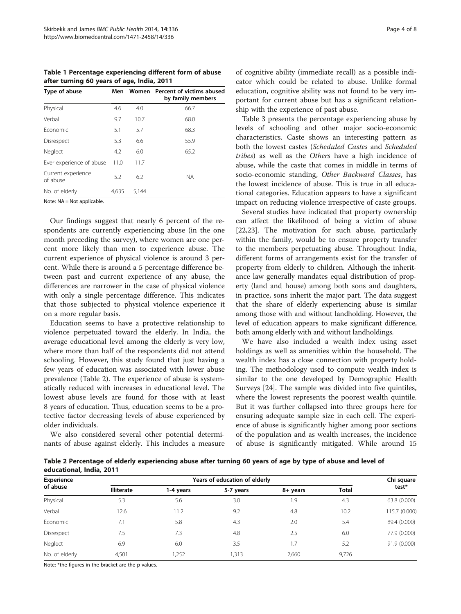<span id="page-3-0"></span>Table 1 Percentage experiencing different form of abuse after turning 60 years of age, India, 2011

| Type of abuse                  | Men   | Women | Percent of victims abused<br>by family members |  |  |  |
|--------------------------------|-------|-------|------------------------------------------------|--|--|--|
| Physical                       | 4.6   | 4.0   | 66.7                                           |  |  |  |
| Verbal                         | 9.7   | 10.7  | 68.0                                           |  |  |  |
| Fconomic                       | 5.1   | 5.7   | 68.3                                           |  |  |  |
| Disrespect                     | 5.3   | 6.6   | 55.9                                           |  |  |  |
| Neglect                        | 4.2   | 6.0   | 65.2                                           |  |  |  |
| Ever experience of abuse       | 11.0  | 11.7  |                                                |  |  |  |
| Current experience<br>of abuse | 5.2   | 6.2   | <b>NA</b>                                      |  |  |  |
| No. of elderly                 | 4,635 | 5,144 |                                                |  |  |  |

Note: NA = Not applicable.

Our findings suggest that nearly 6 percent of the respondents are currently experiencing abuse (in the one month preceding the survey), where women are one percent more likely than men to experience abuse. The current experience of physical violence is around 3 percent. While there is around a 5 percentage difference between past and current experience of any abuse, the differences are narrower in the case of physical violence with only a single percentage difference. This indicates that those subjected to physical violence experience it on a more regular basis.

Education seems to have a protective relationship to violence perpetuated toward the elderly. In India, the average educational level among the elderly is very low, where more than half of the respondents did not attend schooling. However, this study found that just having a few years of education was associated with lower abuse prevalence (Table 2). The experience of abuse is systematically reduced with increases in educational level. The lowest abuse levels are found for those with at least 8 years of education. Thus, education seems to be a protective factor decreasing levels of abuse experienced by older individuals.

We also considered several other potential determinants of abuse against elderly. This includes a measure

of cognitive ability (immediate recall) as a possible indicator which could be related to abuse. Unlike formal education, cognitive ability was not found to be very important for current abuse but has a significant relationship with the experience of past abuse.

Table [3](#page-4-0) presents the percentage experiencing abuse by levels of schooling and other major socio-economic characteristics. Caste shows an interesting pattern as both the lowest castes (Scheduled Castes and Scheduled tribes) as well as the Others have a high incidence of abuse, while the caste that comes in middle in terms of socio-economic standing, Other Backward Classes, has the lowest incidence of abuse. This is true in all educational categories. Education appears to have a significant impact on reducing violence irrespective of caste groups.

Several studies have indicated that property ownership can affect the likelihood of being a victim of abuse [[22,23\]](#page-7-0). The motivation for such abuse, particularly within the family, would be to ensure property transfer to the members perpetuating abuse. Throughout India, different forms of arrangements exist for the transfer of property from elderly to children. Although the inheritance law generally mandates equal distribution of property (land and house) among both sons and daughters, in practice, sons inherit the major part. The data suggest that the share of elderly experiencing abuse is similar among those with and without landholding. However, the level of education appears to make significant difference, both among elderly with and without landholdings.

We have also included a wealth index using asset holdings as well as amenities within the household. The wealth index has a close connection with property holding. The methodology used to compute wealth index is similar to the one developed by Demographic Health Surveys [[24](#page-7-0)]. The sample was divided into five quintiles, where the lowest represents the poorest wealth quintile. But it was further collapsed into three groups here for ensuring adequate sample size in each cell. The experience of abuse is significantly higher among poor sections of the population and as wealth increases, the incidence of abuse is significantly mitigated. While around 15

Table 2 Percentage of elderly experiencing abuse after turning 60 years of age by type of abuse and level of educational, India, 2011

| Experience<br>of abuse | Years of education of elderly |           |           |          |              |               |
|------------------------|-------------------------------|-----------|-----------|----------|--------------|---------------|
|                        | <b>Illiterate</b>             | 1-4 years | 5-7 years | 8+ years | <b>Total</b> | test*         |
| Physical               | 5.3                           | 5.6       | 3.0       | 1.9      | 4.3          | 63.8 (0.000)  |
| Verbal                 | 12.6                          | 11.2      | 9.2       | 4.8      | 10.2         | 115.7 (0.000) |
| Economic               | 7.1                           | 5.8       | 4.3       | 2.0      | 5.4          | 89.4 (0.000)  |
| Disrespect             | 7.5                           | 7.3       | 4.8       | 2.5      | 6.0          | 77.9 (0.000)  |
| Neglect                | 6.9                           | 6.0       | 3.5       | 1.7      | 5.2          | 91.9 (0.000)  |
| No. of elderly         | 4,501                         | ,252      | 1,313     | 2,660    | 9,726        |               |

Note: \*the figures in the bracket are the p values.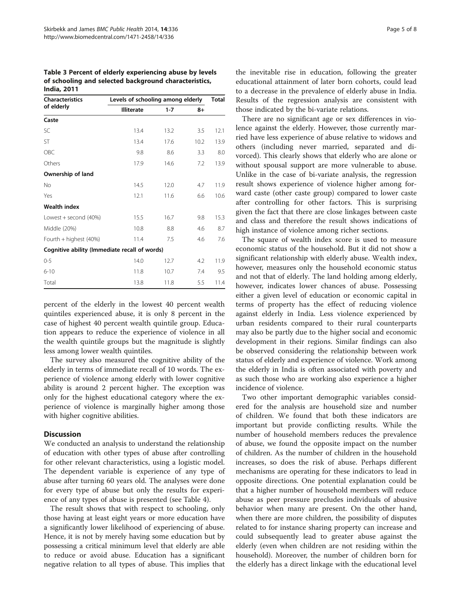<span id="page-4-0"></span>Table 3 Percent of elderly experiencing abuse by levels of schooling and selected background characteristics, India, 2011

| <b>Characteristics</b>                        | Levels of schooling among elderly | <b>Total</b> |      |      |
|-----------------------------------------------|-----------------------------------|--------------|------|------|
| of elderly                                    | <b>Illiterate</b>                 | $1 - 7$      | $8+$ |      |
| Caste                                         |                                   |              |      |      |
| SC                                            | 13.4                              | 13.2         | 3.5  | 12.1 |
| <b>ST</b>                                     | 13.4                              | 17.6         | 10.2 | 13.9 |
| OBC                                           | 9.8                               | 8.6          | 3.3  | 8.0  |
| Others                                        | 17.9                              | 14.6         | 7.2  | 13.9 |
| Ownership of land                             |                                   |              |      |      |
| No                                            | 14.5                              | 12.0         | 4.7  | 11.9 |
| Yes                                           | 12.1                              | 11.6         | 6.6  | 10.6 |
| <b>Wealth index</b>                           |                                   |              |      |      |
| Lowest + second (40%)                         | 15.5                              | 16.7         | 9.8  | 15.3 |
| Middle (20%)                                  | 10.8                              | 8.8          | 4.6  | 8.7  |
| Fourth + highest (40%)                        | 11.4                              | 7.5          | 4.6  | 7.6  |
| Cognitive ability (Immediate recall of words) |                                   |              |      |      |
| $0 - 5$                                       | 14.0                              | 12.7         | 4.2  | 11.9 |
| $6 - 10$                                      | 11.8                              | 10.7         | 7.4  | 9.5  |
| Total                                         | 13.8                              | 11.8         | 5.5  | 11.4 |

percent of the elderly in the lowest 40 percent wealth quintiles experienced abuse, it is only 8 percent in the case of highest 40 percent wealth quintile group. Education appears to reduce the experience of violence in all the wealth quintile groups but the magnitude is slightly less among lower wealth quintiles.

The survey also measured the cognitive ability of the elderly in terms of immediate recall of 10 words. The experience of violence among elderly with lower cognitive ability is around 2 percent higher. The exception was only for the highest educational category where the experience of violence is marginally higher among those with higher cognitive abilities.

## **Discussion**

We conducted an analysis to understand the relationship of education with other types of abuse after controlling for other relevant characteristics, using a logistic model. The dependent variable is experience of any type of abuse after turning 60 years old. The analyses were done for every type of abuse but only the results for experience of any types of abuse is presented (see Table [4](#page-5-0)).

The result shows that with respect to schooling, only those having at least eight years or more education have a significantly lower likelihood of experiencing of abuse. Hence, it is not by merely having some education but by possessing a critical minimum level that elderly are able to reduce or avoid abuse. Education has a significant negative relation to all types of abuse. This implies that

the inevitable rise in education, following the greater educational attainment of later born cohorts, could lead to a decrease in the prevalence of elderly abuse in India. Results of the regression analysis are consistent with those indicated by the bi-variate relations.

There are no significant age or sex differences in violence against the elderly. However, those currently married have less experience of abuse relative to widows and others (including never married, separated and divorced). This clearly shows that elderly who are alone or without spousal support are more vulnerable to abuse. Unlike in the case of bi-variate analysis, the regression result shows experience of violence higher among forward caste (other caste group) compared to lower caste after controlling for other factors. This is surprising given the fact that there are close linkages between caste and class and therefore the result shows indications of high instance of violence among richer sections.

The square of wealth index score is used to measure economic status of the household. But it did not show a significant relationship with elderly abuse. Wealth index, however, measures only the household economic status and not that of elderly. The land holding among elderly, however, indicates lower chances of abuse. Possessing either a given level of education or economic capital in terms of property has the effect of reducing violence against elderly in India. Less violence experienced by urban residents compared to their rural counterparts may also be partly due to the higher social and economic development in their regions. Similar findings can also be observed considering the relationship between work status of elderly and experience of violence. Work among the elderly in India is often associated with poverty and as such those who are working also experience a higher incidence of violence.

Two other important demographic variables considered for the analysis are household size and number of children. We found that both these indicators are important but provide conflicting results. While the number of household members reduces the prevalence of abuse, we found the opposite impact on the number of children. As the number of children in the household increases, so does the risk of abuse. Perhaps different mechanisms are operating for these indicators to lead in opposite directions. One potential explanation could be that a higher number of household members will reduce abuse as peer pressure precludes individuals of abusive behavior when many are present. On the other hand, when there are more children, the possibility of disputes related to for instance sharing property can increase and could subsequently lead to greater abuse against the elderly (even when children are not residing within the household). Moreover, the number of children born for the elderly has a direct linkage with the educational level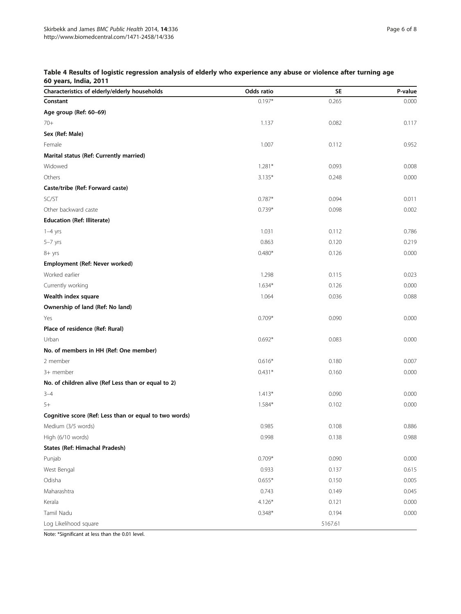| Characteristics of elderly/elderly households          | Odds ratio | <b>SE</b> | P-value |
|--------------------------------------------------------|------------|-----------|---------|
| Constant                                               | $0.197*$   | 0.265     | 0.000   |
| Age group (Ref: 60-69)                                 |            |           |         |
| $70+$                                                  | 1.137      | 0.082     | 0.117   |
| Sex (Ref: Male)                                        |            |           |         |
| Female                                                 | 1.007      | 0.112     | 0.952   |
| Marital status (Ref: Currently married)                |            |           |         |
| Widowed                                                | $1.281*$   | 0.093     | 0.008   |
| Others                                                 | $3.135*$   | 0.248     | 0.000   |
| Caste/tribe (Ref: Forward caste)                       |            |           |         |
| SC/ST                                                  | $0.787*$   | 0.094     | 0.011   |
| Other backward caste                                   | $0.739*$   | 0.098     | 0.002   |
| <b>Education (Ref: Illiterate)</b>                     |            |           |         |
| $1-4$ yrs                                              | 1.031      | 0.112     | 0.786   |
| $5-7$ yrs                                              | 0.863      | 0.120     | 0.219   |
| $8 + yrs$                                              | $0.480*$   | 0.126     | 0.000   |
| Employment (Ref: Never worked)                         |            |           |         |
| Worked earlier                                         | 1.298      | 0.115     | 0.023   |
| Currently working                                      | $1.634*$   | 0.126     | 0.000   |
| Wealth index square                                    | 1.064      | 0.036     | 0.088   |
| Ownership of land (Ref: No land)                       |            |           |         |
| Yes                                                    | $0.709*$   | 0.090     | 0.000   |
| Place of residence (Ref: Rural)                        |            |           |         |
| Urban                                                  | $0.692*$   | 0.083     | 0.000   |
| No. of members in HH (Ref: One member)                 |            |           |         |
| 2 member                                               | $0.616*$   | 0.180     | 0.007   |
| 3+ member                                              | $0.431*$   | 0.160     | 0.000   |
| No. of children alive (Ref Less than or equal to 2)    |            |           |         |
| $3 - 4$                                                | $1.413*$   | 0.090     | 0.000   |
| $5+$                                                   | 1.584*     | 0.102     | 0.000   |
| Cognitive score (Ref: Less than or equal to two words) |            |           |         |
| Medium (3/5 words)                                     | 0.985      | 0.108     | 0.886   |
| High (6/10 words)                                      | 0.998      | 0.138     | 0.988   |
| States (Ref: Himachal Pradesh)                         |            |           |         |
| Punjab                                                 | $0.709*$   | 0.090     | 0.000   |
| West Bengal                                            | 0.933      | 0.137     | 0.615   |
| Odisha                                                 | $0.655*$   | 0.150     | 0.005   |
| Maharashtra                                            | 0.743      | 0.149     | 0.045   |
| Kerala                                                 | $4.126*$   | 0.121     | 0.000   |
| Tamil Nadu                                             | $0.348*$   | 0.194     | 0.000   |
| Log Likelihood square                                  |            | 5167.61   |         |

## <span id="page-5-0"></span>Table 4 Results of logistic regression analysis of elderly who experience any abuse or violence after turning age 60 years, India, 2011

Note: \*Significant at less than the 0.01 level.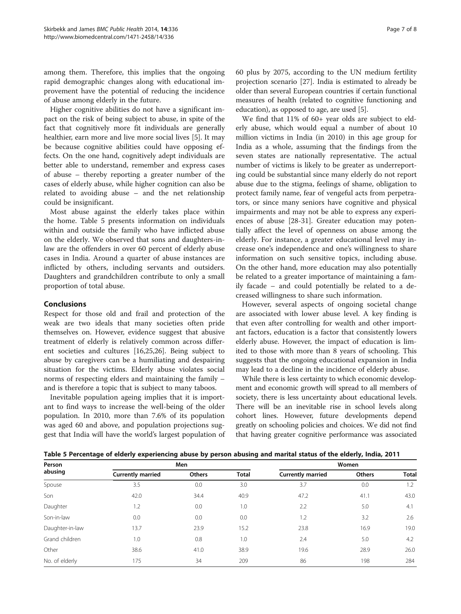among them. Therefore, this implies that the ongoing rapid demographic changes along with educational improvement have the potential of reducing the incidence of abuse among elderly in the future.

Higher cognitive abilities do not have a significant impact on the risk of being subject to abuse, in spite of the fact that cognitively more fit individuals are generally healthier, earn more and live more social lives [[5\]](#page-7-0). It may be because cognitive abilities could have opposing effects. On the one hand, cognitively adept individuals are better able to understand, remember and express cases of abuse – thereby reporting a greater number of the cases of elderly abuse, while higher cognition can also be related to avoiding abuse – and the net relationship could be insignificant.

Most abuse against the elderly takes place within the home. Table 5 presents information on individuals within and outside the family who have inflicted abuse on the elderly. We observed that sons and daughters-inlaw are the offenders in over 60 percent of elderly abuse cases in India. Around a quarter of abuse instances are inflicted by others, including servants and outsiders. Daughters and grandchildren contribute to only a small proportion of total abuse.

## Conclusions

Respect for those old and frail and protection of the weak are two ideals that many societies often pride themselves on. However, evidence suggest that abusive treatment of elderly is relatively common across different societies and cultures [[16,25,26\]](#page-7-0). Being subject to abuse by caregivers can be a humiliating and despairing situation for the victims. Elderly abuse violates social norms of respecting elders and maintaining the family – and is therefore a topic that is subject to many taboos.

Inevitable population ageing implies that it is important to find ways to increase the well-being of the older population. In 2010, more than 7.6% of its population was aged 60 and above, and population projections suggest that India will have the world's largest population of 60 plus by 2075, according to the UN medium fertility projection scenario [[27\]](#page-7-0). India is estimated to already be older than several European countries if certain functional measures of health (related to cognitive functioning and education), as opposed to age, are used [[5\]](#page-7-0).

We find that 11% of 60+ year olds are subject to elderly abuse, which would equal a number of about 10 million victims in India (in 2010) in this age group for India as a whole, assuming that the findings from the seven states are nationally representative. The actual number of victims is likely to be greater as underreporting could be substantial since many elderly do not report abuse due to the stigma, feelings of shame, obligation to protect family name, fear of vengeful acts from perpetrators, or since many seniors have cognitive and physical impairments and may not be able to express any experiences of abuse [[28-31\]](#page-7-0). Greater education may potentially affect the level of openness on abuse among the elderly. For instance, a greater educational level may increase one's independence and one's willingness to share information on such sensitive topics, including abuse. On the other hand, more education may also potentially be related to a greater importance of maintaining a family facade – and could potentially be related to a decreased willingness to share such information.

However, several aspects of ongoing societal change are associated with lower abuse level. A key finding is that even after controlling for wealth and other important factors, education is a factor that consistently lowers elderly abuse. However, the impact of education is limited to those with more than 8 years of schooling. This suggests that the ongoing educational expansion in India may lead to a decline in the incidence of elderly abuse.

While there is less certainty to which economic development and economic growth will spread to all members of society, there is less uncertainty about educational levels. There will be an inevitable rise in school levels along cohort lines. However, future developments depend greatly on schooling policies and choices. We did not find that having greater cognitive performance was associated

| Person<br>abusing | Men                      |        |              | Women                    |        |              |  |
|-------------------|--------------------------|--------|--------------|--------------------------|--------|--------------|--|
|                   | <b>Currently married</b> | Others | <b>Total</b> | <b>Currently married</b> | Others | <b>Total</b> |  |
| Spouse            | 3.5                      | 0.0    | 3.0          | 3.7                      | 0.0    | 1.2          |  |
| Son               | 42.0                     | 34.4   | 40.9         | 47.2                     | 41.1   | 43.0         |  |
| Daughter          | 1.2                      | 0.0    | 1.0          | 2.2                      | 5.0    | 4.1          |  |
| Son-in-law        | 0.0                      | 0.0    | 0.0          | 1.2                      | 3.2    | 2.6          |  |
| Daughter-in-law   | 13.7                     | 23.9   | 15.2         | 23.8                     | 16.9   | 19.0         |  |
| Grand children    | 1.0                      | 0.8    | 1.0          | 2.4                      | 5.0    | 4.2          |  |
| Other             | 38.6                     | 41.0   | 38.9         | 19.6                     | 28.9   | 26.0         |  |
| No. of elderly    | 175                      | 34     | 209          | 86                       | 198    | 284          |  |

Table 5 Percentage of elderly experiencing abuse by person abusing and marital status of the elderly, India, 2011